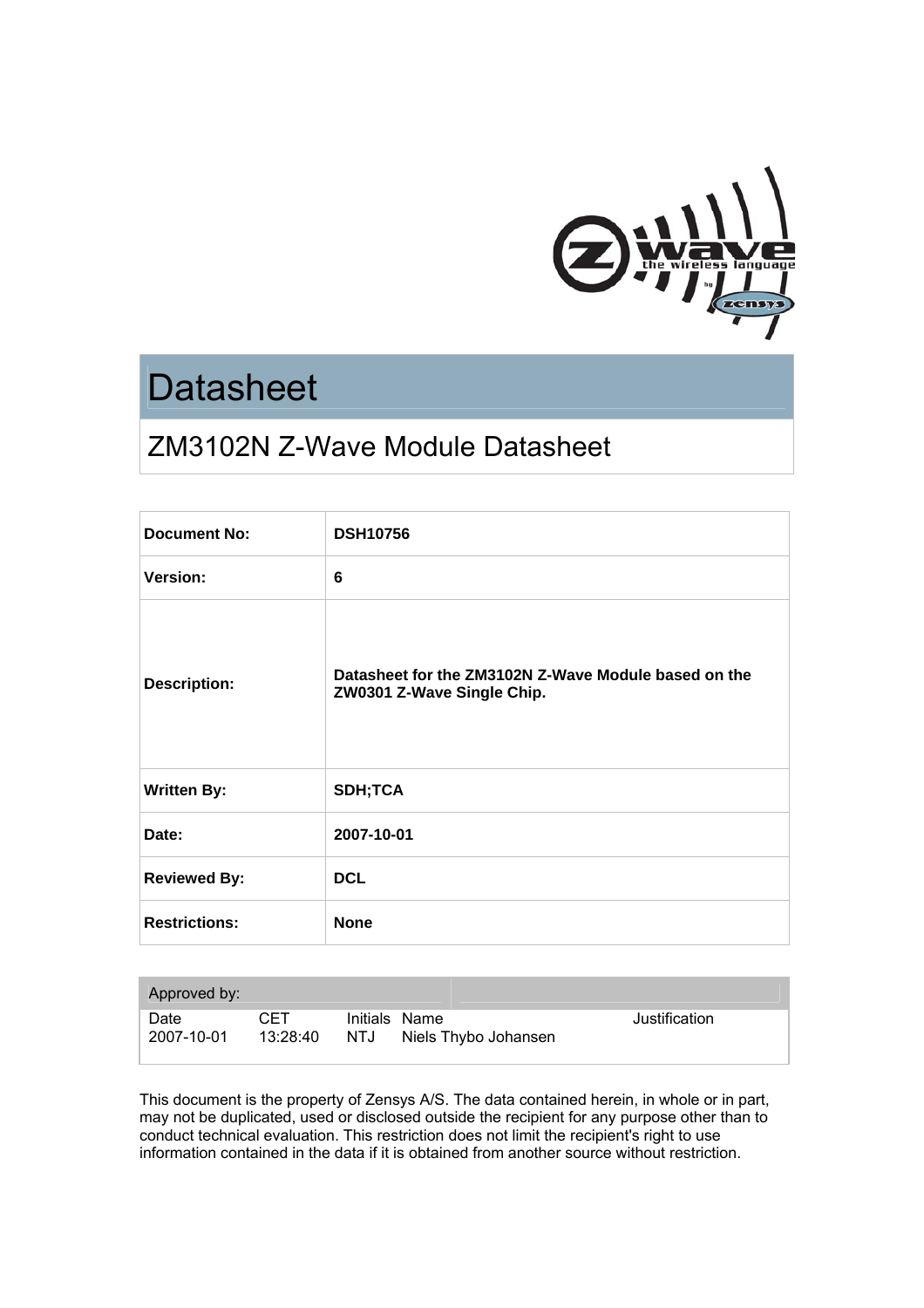

# **Datasheet**

# ZM3102N Z-Wave Module Datasheet

| <b>Document No:</b>  | <b>DSH10756</b>                                                                    |
|----------------------|------------------------------------------------------------------------------------|
| Version:             | 6                                                                                  |
| <b>Description:</b>  | Datasheet for the ZM3102N Z-Wave Module based on the<br>ZW0301 Z-Wave Single Chip. |
| <b>Written By:</b>   | <b>SDH;TCA</b>                                                                     |
| Date:                | 2007-10-01                                                                         |
| <b>Reviewed By:</b>  | <b>DCL</b>                                                                         |
| <b>Restrictions:</b> | <b>None</b>                                                                        |

| Approved by:       |                 |     |                                       |               |
|--------------------|-----------------|-----|---------------------------------------|---------------|
| Date<br>2007-10-01 | CET<br>13:28:40 | NTJ | Initials Name<br>Niels Thybo Johansen | Justification |

This document is the property of Zensys A/S. The data contained herein, in whole or in part, may not be duplicated, used or disclosed outside the recipient for any purpose other than to conduct technical evaluation. This restriction does not limit the recipient's right to use information contained in the data if it is obtained from another source without restriction.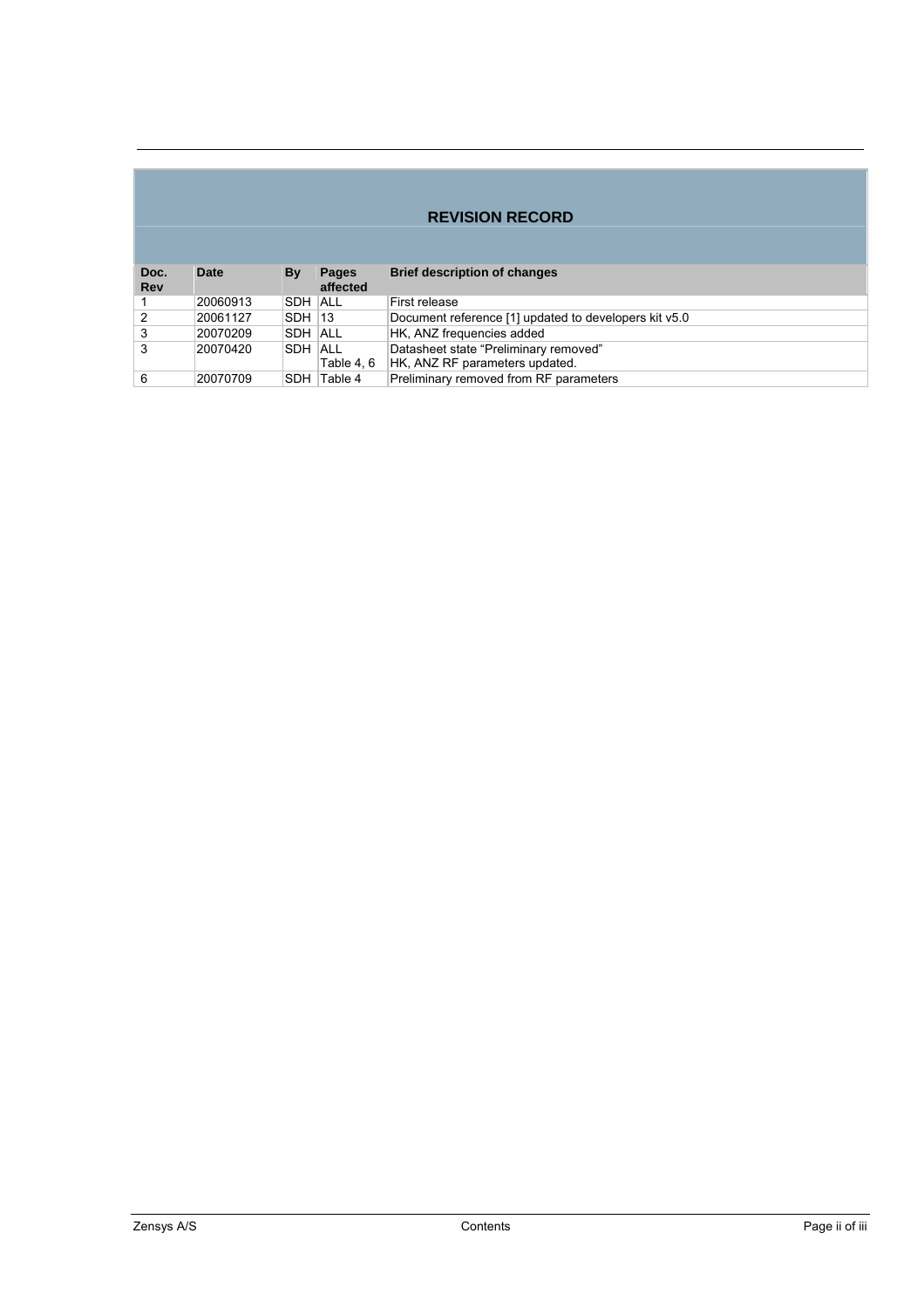# **REVISION RECORD**

| Doc.<br><b>Rev</b> | Date     | Bv            | <b>Pages</b><br>affected | <b>Brief description of changes</b>                                     |
|--------------------|----------|---------------|--------------------------|-------------------------------------------------------------------------|
|                    | 20060913 | ISDH IALL     |                          | First release                                                           |
| 2                  | 20061127 | <b>SDH 13</b> |                          | Document reference [1] updated to developers kit v5.0                   |
| 3                  | 20070209 | ISDH IALL     |                          | HK, ANZ frequencies added                                               |
| 3                  | 20070420 | ISDH IALL     | Table 4.6                | Datasheet state "Preliminary removed"<br>HK, ANZ RF parameters updated. |
| 6                  | 20070709 |               | <b>SDH Table 4</b>       | Preliminary removed from RF parameters                                  |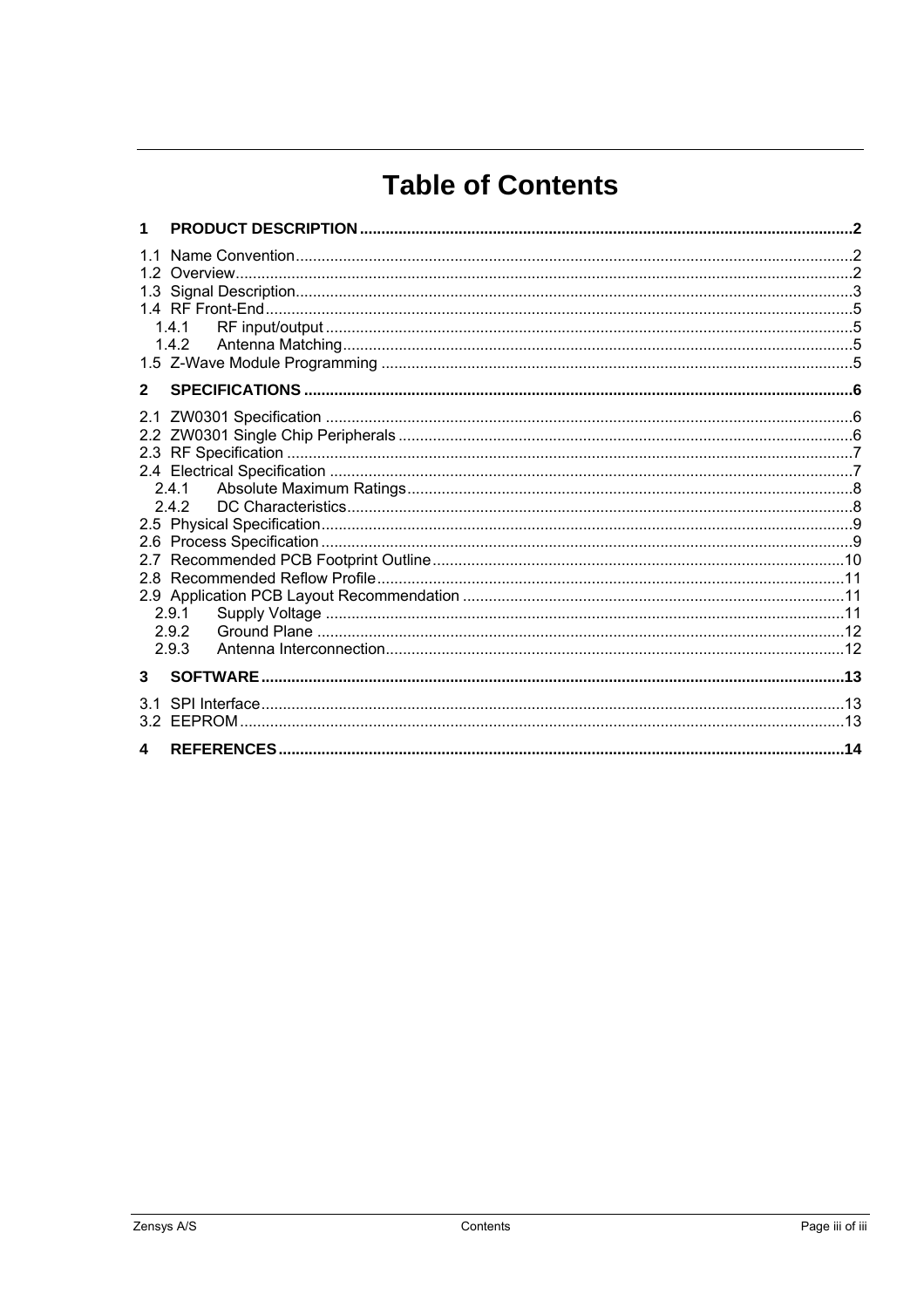# **Table of Contents**

| 1              |                                           |     |
|----------------|-------------------------------------------|-----|
| 11<br>12       | 1.4.1                                     |     |
| $\overline{2}$ |                                           |     |
| 2.1<br>28      | 2.4.1<br>2.4.2<br>2.9.1<br>2.9.2<br>2.9.3 |     |
| 3              | <b>SOFTWARE</b>                           |     |
|                |                                           |     |
| 4              |                                           | .14 |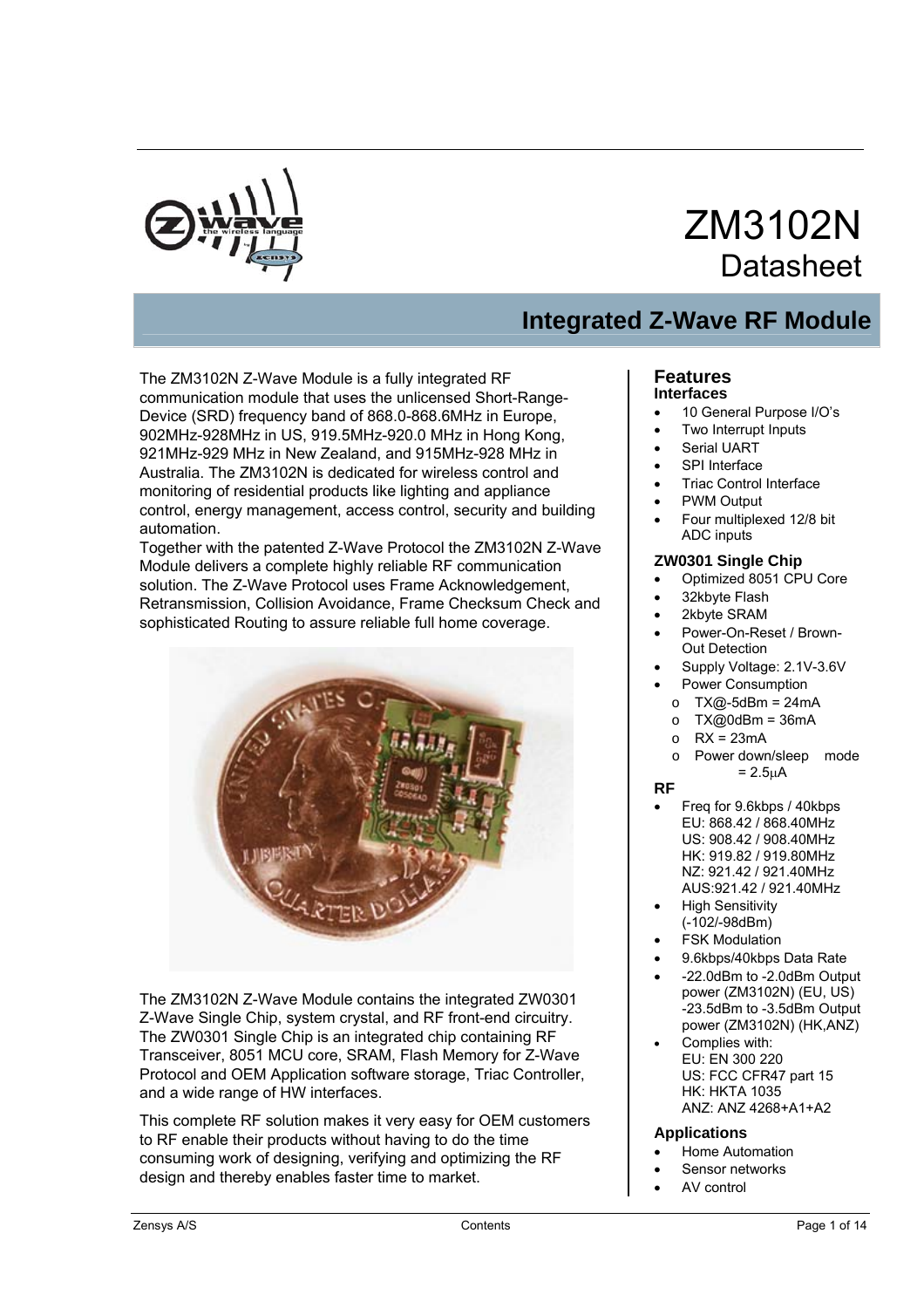

# ZM3102N **Datasheet**

# **Integrated Z-Wave RF Module**

The ZM3102N Z-Wave Module is a fully integrated RF communication module that uses the unlicensed Short-Range-Device (SRD) frequency band of 868.0-868.6MHz in Europe, 902MHz-928MHz in US, 919.5MHz-920.0 MHz in Hong Kong, 921MHz-929 MHz in New Zealand, and 915MHz-928 MHz in Australia. The ZM3102N is dedicated for wireless control and monitoring of residential products like lighting and appliance control, energy management, access control, security and building automation.

Together with the patented Z-Wave Protocol the ZM3102N Z-Wave Module delivers a complete highly reliable RF communication solution. The Z-Wave Protocol uses Frame Acknowledgement, Retransmission, Collision Avoidance, Frame Checksum Check and sophisticated Routing to assure reliable full home coverage.



The ZM3102N Z-Wave Module contains the integrated ZW0301 Z-Wave Single Chip, system crystal, and RF front-end circuitry. The ZW0301 Single Chip is an integrated chip containing RF Transceiver, 8051 MCU core, SRAM, Flash Memory for Z-Wave Protocol and OEM Application software storage, Triac Controller, and a wide range of HW interfaces.

This complete RF solution makes it very easy for OEM customers to RF enable their products without having to do the time consuming work of designing, verifying and optimizing the RF design and thereby enables faster time to market.

#### **Features Interfaces**

- 10 General Purpose I/O's
- **Two Interrupt Inputs**
- Serial UART
- SPI Interface
- Triac Control Interface
- PWM Output
- Four multiplexed 12/8 bit ADC inputs

### **ZW0301 Single Chip**

- Optimized 8051 CPU Core
- 32kbyte Flash
- 2kbyte SRAM
- Power-On-Reset / Brown-Out Detection
- Supply Voltage: 2.1V-3.6V
- Power Consumption
- $O$  TX@-5dBm = 24mA
- $O$  TX@0dBm = 36mA
- $O$  RX = 23mA
- o Power down/sleep mode  $= 2.5<sub>µ</sub>A$

#### **RF**

- Freq for 9.6kbps / 40kbps EU: 868.42 / 868.40MHz US: 908.42 / 908.40MHz HK: 919.82 / 919.80MHz NZ: 921.42 / 921.40MHz AUS:921.42 / 921.40MHz
- High Sensitivity (-102/-98dBm)
- **FSK Modulation**
- 9.6kbps/40kbps Data Rate
- -22.0dBm to -2.0dBm Output power (ZM3102N) (EU, US) -23.5dBm to -3.5dBm Output power (ZM3102N) (HK,ANZ)
- Complies with: EU: EN 300 220 US: FCC CFR47 part 15 HK: HKTA 1035 ANZ: ANZ 4268+A1+A2

#### **Applications**

- Home Automation
- Sensor networks
- AV control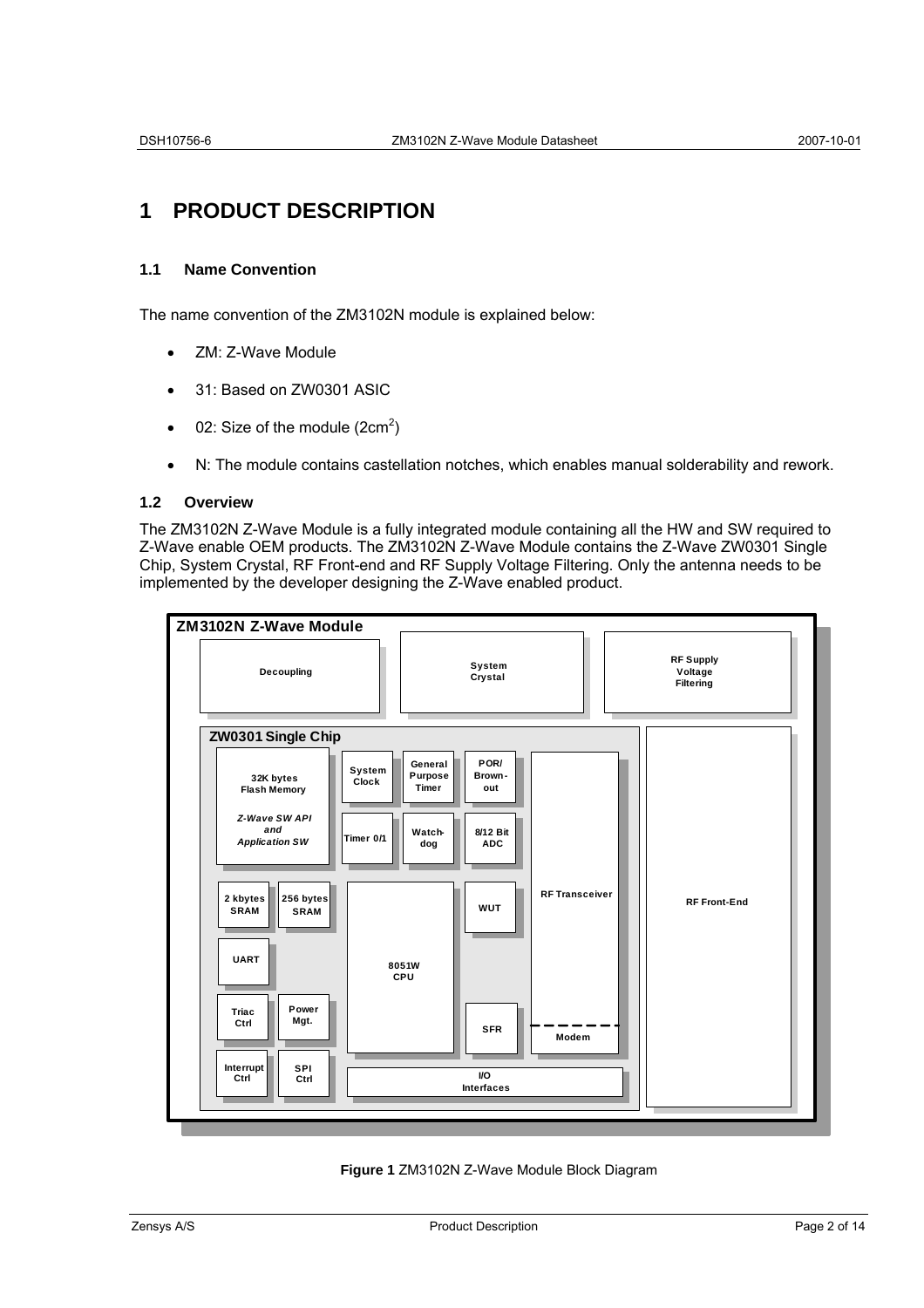# **1 PRODUCT DESCRIPTION**

# **1.1 Name Convention**

The name convention of the ZM3102N module is explained below:

- ZM: Z-Wave Module
- 31: Based on ZW0301 ASIC
- 02: Size of the module  $(2cm^2)$
- N: The module contains castellation notches, which enables manual solderability and rework.

# **1.2 Overview**

The ZM3102N Z-Wave Module is a fully integrated module containing all the HW and SW required to Z-Wave enable OEM products. The ZM3102N Z-Wave Module contains the Z-Wave ZW0301 Single Chip, System Crystal, RF Front-end and RF Supply Voltage Filtering. Only the antenna needs to be implemented by the developer designing the Z-Wave enabled product.



**Figure 1** ZM3102N Z-Wave Module Block Diagram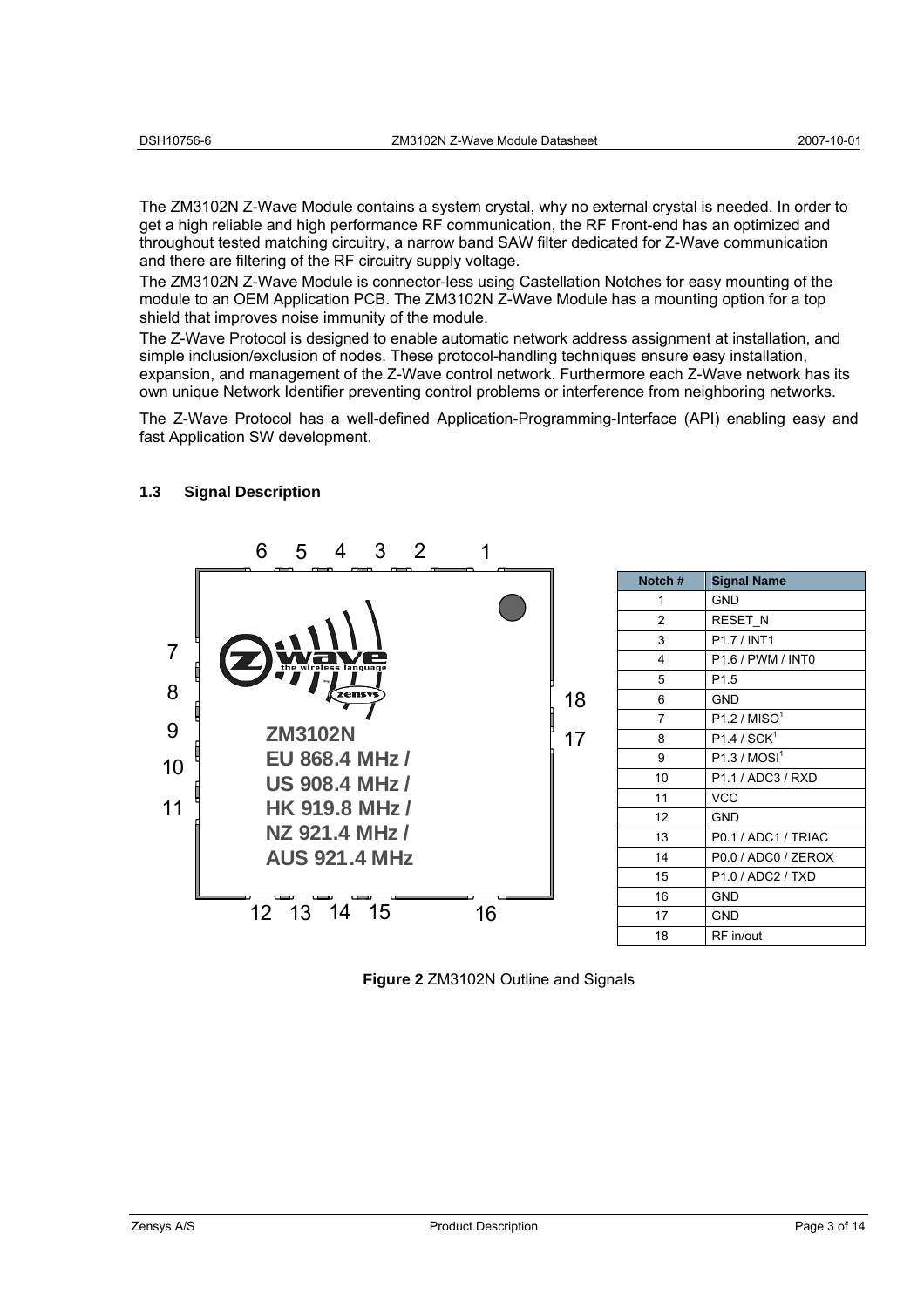The ZM3102N Z-Wave Module contains a system crystal, why no external crystal is needed. In order to get a high reliable and high performance RF communication, the RF Front-end has an optimized and throughout tested matching circuitry, a narrow band SAW filter dedicated for Z-Wave communication and there are filtering of the RF circuitry supply voltage.

The ZM3102N Z-Wave Module is connector-less using Castellation Notches for easy mounting of the module to an OEM Application PCB. The ZM3102N Z-Wave Module has a mounting option for a top shield that improves noise immunity of the module.

The Z-Wave Protocol is designed to enable automatic network address assignment at installation, and simple inclusion/exclusion of nodes. These protocol-handling techniques ensure easy installation, expansion, and management of the Z-Wave control network. Furthermore each Z-Wave network has its own unique Network Identifier preventing control problems or interference from neighboring networks.

The Z-Wave Protocol has a well-defined Application-Programming-Interface (API) enabling easy and fast Application SW development.



# **1.3 Signal Description**

**Figure 2** ZM3102N Outline and Signals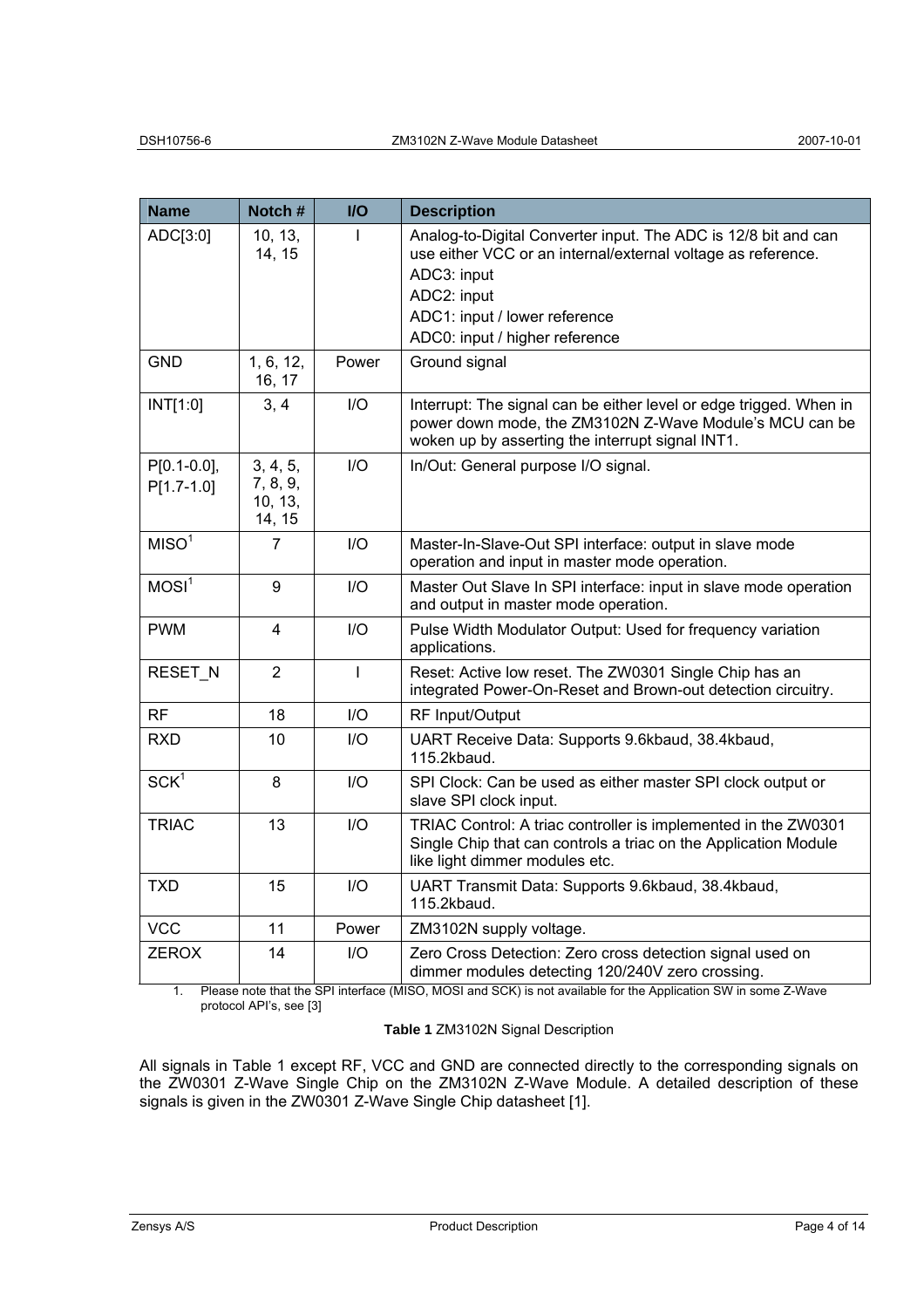| Notch #                                   | <b>I/O</b>     | <b>Description</b>                                                                                                                                                                                                              |  |
|-------------------------------------------|----------------|---------------------------------------------------------------------------------------------------------------------------------------------------------------------------------------------------------------------------------|--|
| 10, 13,<br>14, 15                         | L              | Analog-to-Digital Converter input. The ADC is 12/8 bit and can<br>use either VCC or an internal/external voltage as reference.<br>ADC3: input<br>ADC2: input<br>ADC1: input / lower reference<br>ADC0: input / higher reference |  |
| 1, 6, 12,<br>16, 17                       | Power          | Ground signal                                                                                                                                                                                                                   |  |
| 3, 4                                      | I/O            | Interrupt: The signal can be either level or edge trigged. When in<br>power down mode, the ZM3102N Z-Wave Module's MCU can be<br>woken up by asserting the interrupt signal INT1.                                               |  |
| 3, 4, 5,<br>7, 8, 9,<br>10, 13,<br>14, 15 | I/O            | In/Out: General purpose I/O signal.                                                                                                                                                                                             |  |
| $\overline{7}$                            | I/O            | Master-In-Slave-Out SPI interface: output in slave mode<br>operation and input in master mode operation.                                                                                                                        |  |
| 9                                         | I/O            | Master Out Slave In SPI interface: input in slave mode operation<br>and output in master mode operation.                                                                                                                        |  |
| 4                                         | I/O            | Pulse Width Modulator Output: Used for frequency variation<br>applications.                                                                                                                                                     |  |
| $\overline{2}$                            | $\overline{1}$ | Reset: Active low reset. The ZW0301 Single Chip has an<br>integrated Power-On-Reset and Brown-out detection circuitry.                                                                                                          |  |
| 18                                        | I/O            | RF Input/Output                                                                                                                                                                                                                 |  |
| 10                                        | I/O            | UART Receive Data: Supports 9.6kbaud, 38.4kbaud,<br>115.2kbaud.                                                                                                                                                                 |  |
| 8                                         | I/O            | SPI Clock: Can be used as either master SPI clock output or<br>slave SPI clock input.                                                                                                                                           |  |
| 13                                        | I/O            | TRIAC Control: A triac controller is implemented in the ZW0301<br>Single Chip that can controls a triac on the Application Module<br>like light dimmer modules etc.                                                             |  |
| 15                                        | $II$           | UART Transmit Data: Supports 9.6kbaud, 38.4kbaud,<br>115.2kbaud.                                                                                                                                                                |  |
| 11                                        | Power          | ZM3102N supply voltage.                                                                                                                                                                                                         |  |
| 14                                        | I/O            | Zero Cross Detection: Zero cross detection signal used on<br>dimmer modules detecting 120/240V zero crossing.                                                                                                                   |  |
|                                           |                | Please note that the SPI interface (MISO, MOSI and SCK) is not available for the Application SW in some Z-Wave                                                                                                                  |  |

1. Please note that the SPI interface (MISO, MOSI and SCK) is not available for the Application SW in some Z-Wave protocol API's, see [3]

## **Table 1** ZM3102N Signal Description

All signals in Table 1 except RF, VCC and GND are connected directly to the corresponding signals on the ZW0301 Z-Wave Single Chip on the ZM3102N Z-Wave Module. A detailed description of these signals is given in the ZW0301 Z-Wave Single Chip datasheet [1].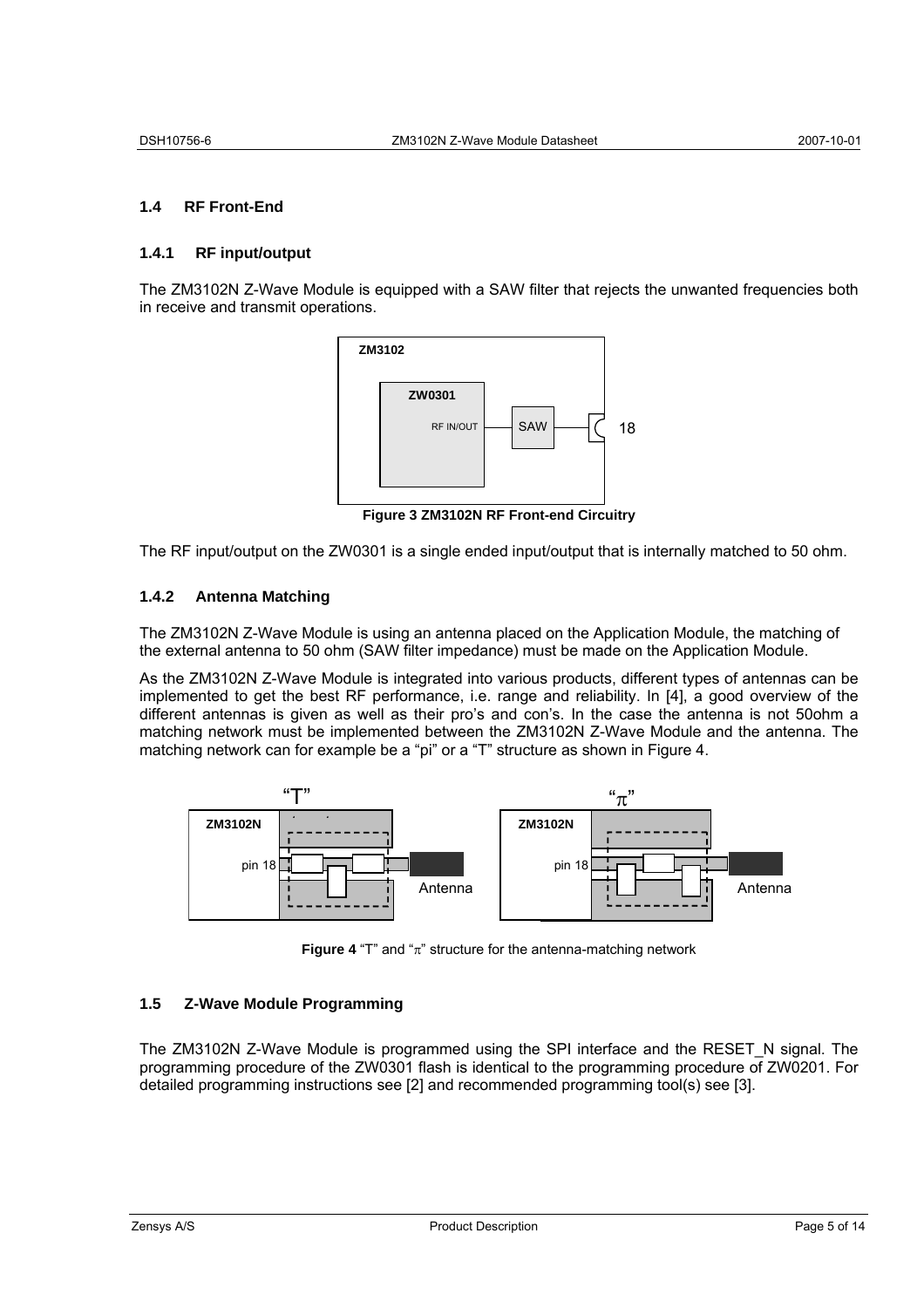# **1.4 RF Front-End**

### **1.4.1 RF input/output**

The ZM3102N Z-Wave Module is equipped with a SAW filter that rejects the unwanted frequencies both in receive and transmit operations.



**Figure 3 ZM3102N RF Front-end Circuitry** 

The RF input/output on the ZW0301 is a single ended input/output that is internally matched to 50 ohm.

#### **1.4.2 Antenna Matching**

The ZM3102N Z-Wave Module is using an antenna placed on the Application Module, the matching of the external antenna to 50 ohm (SAW filter impedance) must be made on the Application Module.

As the ZM3102N Z-Wave Module is integrated into various products, different types of antennas can be implemented to get the best RF performance, i.e. range and reliability. In [4], a good overview of the different antennas is given as well as their pro's and con's. In the case the antenna is not 50ohm a matching network must be implemented between the ZM3102N Z-Wave Module and the antenna. The matching network can for example be a "pi" or a "T" structure as shown in Figure 4.



**Figure 4** "T" and " $\pi$ " structure for the antenna-matching network

# **1.5 Z-Wave Module Programming**

The ZM3102N Z-Wave Module is programmed using the SPI interface and the RESET\_N signal. The programming procedure of the ZW0301 flash is identical to the programming procedure of ZW0201. For detailed programming instructions see [2] and recommended programming tool(s) see [3].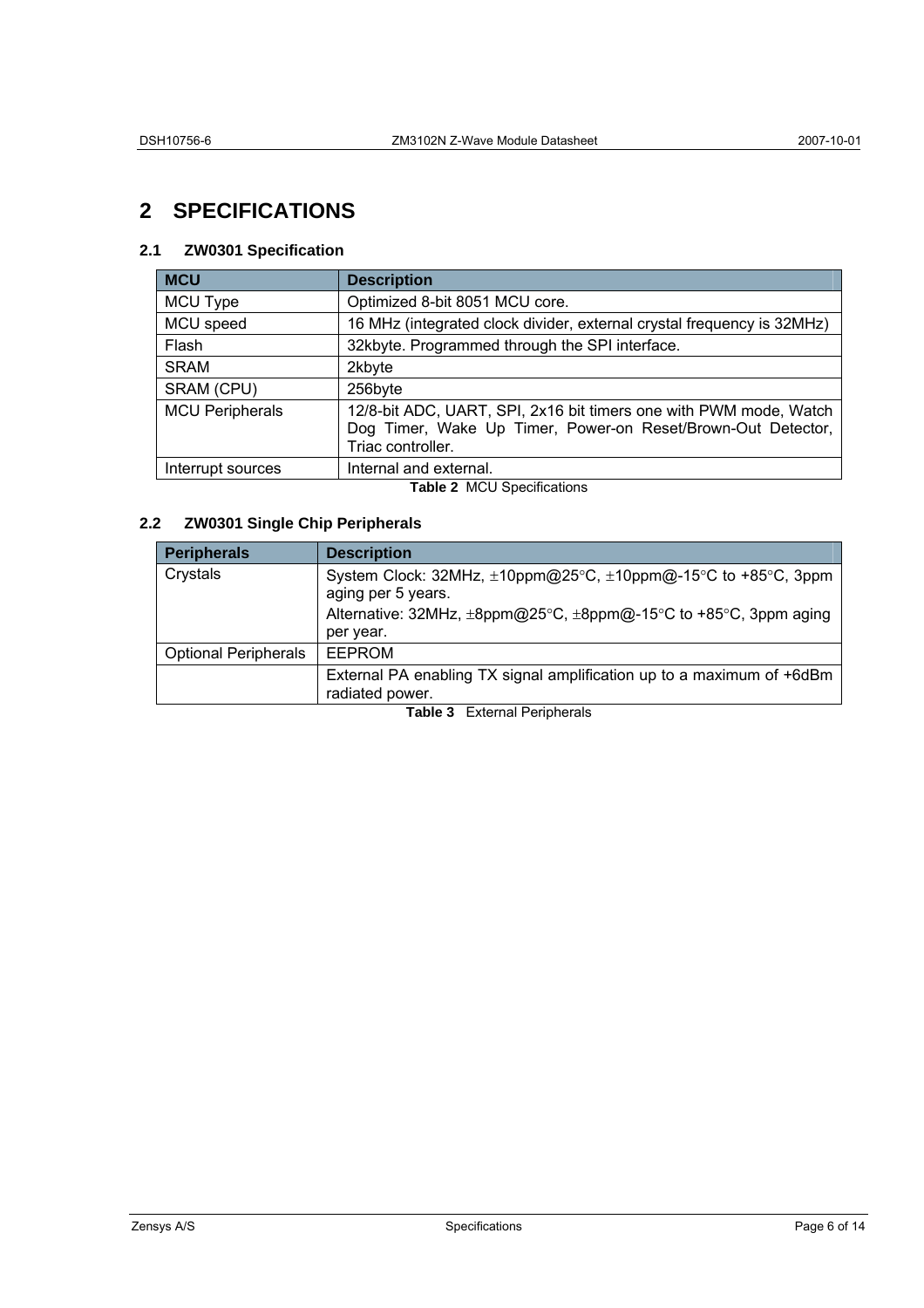# **2 SPECIFICATIONS**

# **2.1 ZW0301 Specification**

| <b>MCU</b>                        | <b>Description</b>                                                                                                                                     |  |
|-----------------------------------|--------------------------------------------------------------------------------------------------------------------------------------------------------|--|
| MCU Type                          | Optimized 8-bit 8051 MCU core.                                                                                                                         |  |
| MCU speed                         | 16 MHz (integrated clock divider, external crystal frequency is 32MHz)                                                                                 |  |
| Flash                             | 32kbyte. Programmed through the SPI interface.                                                                                                         |  |
| <b>SRAM</b>                       | 2kbyte                                                                                                                                                 |  |
| SRAM (CPU)                        | 256byte                                                                                                                                                |  |
| <b>MCU Peripherals</b>            | 12/8-bit ADC, UART, SPI, 2x16 bit timers one with PWM mode, Watch<br>Dog Timer, Wake Up Timer, Power-on Reset/Brown-Out Detector,<br>Triac controller. |  |
| Interrupt sources                 | Internal and external.                                                                                                                                 |  |
| <b>Table 2 MCU Specifications</b> |                                                                                                                                                        |  |

# **2.2 ZW0301 Single Chip Peripherals**

| <b>Peripherals</b>          | <b>Description</b>                                                                                                                                                   |
|-----------------------------|----------------------------------------------------------------------------------------------------------------------------------------------------------------------|
| Crystals                    | System Clock: 32MHz, ±10ppm@25°C, ±10ppm@-15°C to +85°C, 3ppm<br>aging per 5 years.<br>Alternative: 32MHz, ±8ppm@25°C, ±8ppm@-15°C to +85°C, 3ppm aging<br>per year. |
| <b>Optional Peripherals</b> | <b>EEPROM</b>                                                                                                                                                        |
|                             | External PA enabling TX signal amplification up to a maximum of +6dBm<br>radiated power.                                                                             |

**Table 3** External Peripherals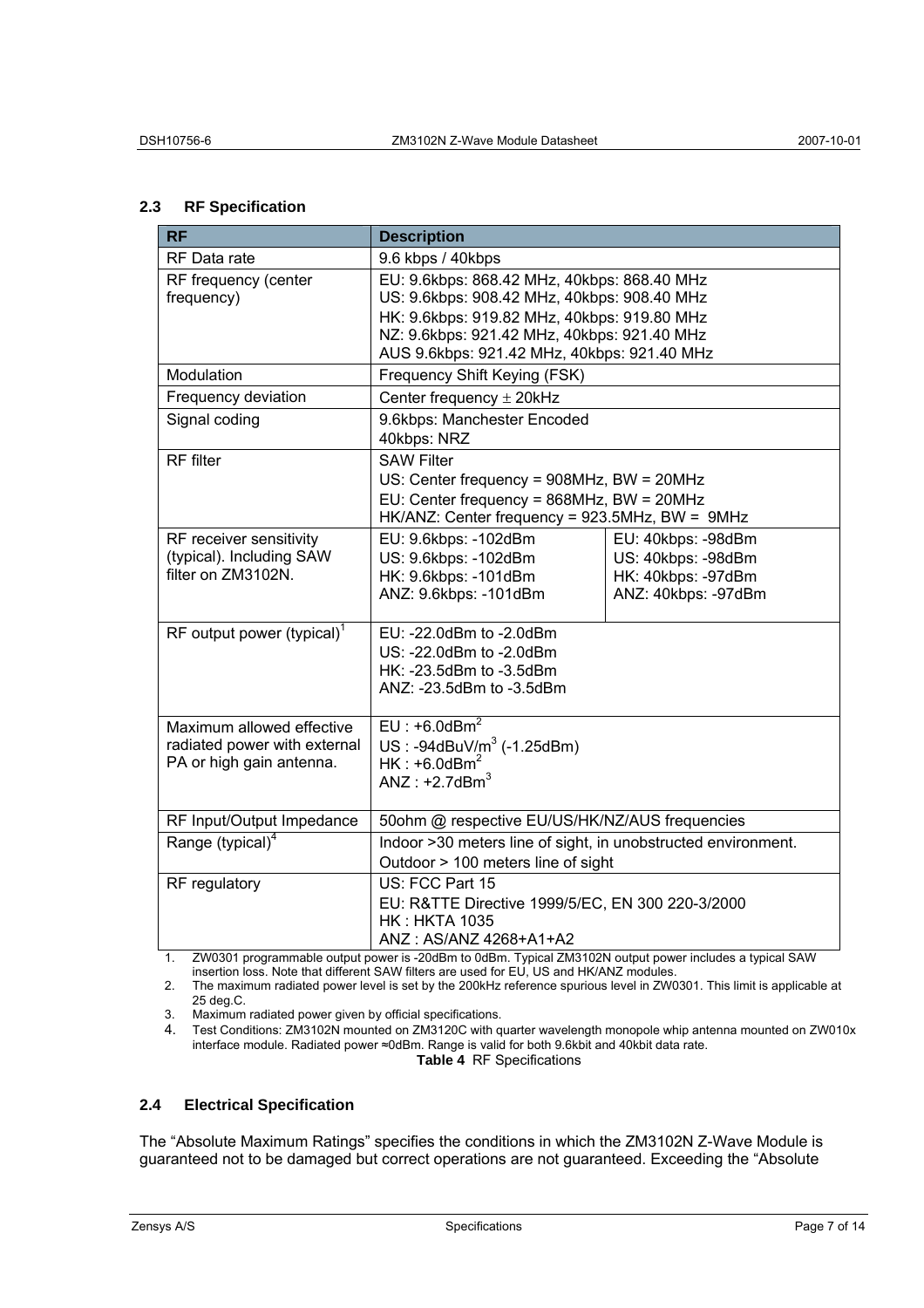# **2.3 RF Specification**

| <b>RF</b>                              | <b>Description</b>                                                                         |                     |  |
|----------------------------------------|--------------------------------------------------------------------------------------------|---------------------|--|
| RF Data rate                           | 9.6 kbps / 40kbps                                                                          |                     |  |
| RF frequency (center                   | EU: 9.6kbps: 868.42 MHz, 40kbps: 868.40 MHz                                                |                     |  |
| frequency)                             | US: 9.6kbps: 908.42 MHz, 40kbps: 908.40 MHz                                                |                     |  |
|                                        | HK: 9.6kbps: 919.82 MHz, 40kbps: 919.80 MHz                                                |                     |  |
|                                        | NZ: 9.6kbps: 921.42 MHz, 40kbps: 921.40 MHz<br>AUS 9.6kbps: 921.42 MHz, 40kbps: 921.40 MHz |                     |  |
| Modulation                             | Frequency Shift Keying (FSK)                                                               |                     |  |
| Frequency deviation                    |                                                                                            |                     |  |
|                                        | Center frequency $\pm$ 20kHz                                                               |                     |  |
| Signal coding                          | 9.6kbps: Manchester Encoded<br>40kbps: NRZ                                                 |                     |  |
| <b>RF</b> filter                       | <b>SAW Filter</b>                                                                          |                     |  |
|                                        | US: Center frequency = 908MHz, BW = 20MHz                                                  |                     |  |
|                                        | EU: Center frequency = 868MHz, BW = 20MHz                                                  |                     |  |
|                                        | HK/ANZ: Center frequency = 923.5MHz, BW = 9MHz                                             |                     |  |
| RF receiver sensitivity                | EU: 9.6kbps: -102dBm                                                                       | EU: 40kbps: -98dBm  |  |
| (typical). Including SAW               | US: 9.6kbps: -102dBm                                                                       | US: 40kbps: -98dBm  |  |
| filter on ZM3102N.                     | HK: 9.6kbps: -101dBm                                                                       | HK: 40kbps: -97dBm  |  |
|                                        | ANZ: 9.6kbps: -101dBm                                                                      | ANZ: 40kbps: -97dBm |  |
| RF output power (typical) <sup>1</sup> | EU: -22.0dBm to -2.0dBm                                                                    |                     |  |
|                                        | US: -22.0dBm to -2.0dBm                                                                    |                     |  |
|                                        | HK: -23.5dBm to -3.5dBm                                                                    |                     |  |
|                                        | ANZ: -23.5dBm to -3.5dBm                                                                   |                     |  |
|                                        |                                                                                            |                     |  |
| Maximum allowed effective              | $EU: +6.0dBm2$                                                                             |                     |  |
| radiated power with external           | $US: -94dBuV/m3 (-1.25dBm)$                                                                |                     |  |
| PA or high gain antenna.               | $HK: +6.0dBm2$<br>ANZ: $+2.7$ dBm <sup>3</sup>                                             |                     |  |
|                                        |                                                                                            |                     |  |
| RF Input/Output Impedance              | 50ohm @ respective EU/US/HK/NZ/AUS frequencies                                             |                     |  |
| Range (typical) <sup>4</sup>           | Indoor >30 meters line of sight, in unobstructed environment.                              |                     |  |
|                                        | Outdoor > 100 meters line of sight                                                         |                     |  |
| RF regulatory                          | US: FCC Part 15                                                                            |                     |  |
|                                        | EU: R&TTE Directive 1999/5/EC, EN 300 220-3/2000                                           |                     |  |
|                                        | <b>HK : HKTA 1035</b>                                                                      |                     |  |
|                                        | ANZ: AS/ANZ 4268+A1+A2                                                                     |                     |  |

1. ZW0301 programmable output power is -20dBm to 0dBm. Typical ZM3102N output power includes a typical SAW insertion loss. Note that different SAW filters are used for EU, US and HK/ANZ modules.

2. The maximum radiated power level is set by the 200kHz reference spurious level in ZW0301. This limit is applicable at 25 deg.C.

3. Maximum radiated power given by official specifications.<br>4. Test Conditions: ZM3102N mounted on ZM3120C with a

4. Test Conditions: ZM3102N mounted on ZM3120C with quarter wavelength monopole whip antenna mounted on ZW010x interface module. Radiated power ≈0dBm. Range is valid for both 9.6kbit and 40kbit data rate. **Table 4** RF Specifications

# **2.4 Electrical Specification**

The "Absolute Maximum Ratings" specifies the conditions in which the ZM3102N Z-Wave Module is guaranteed not to be damaged but correct operations are not guaranteed. Exceeding the "Absolute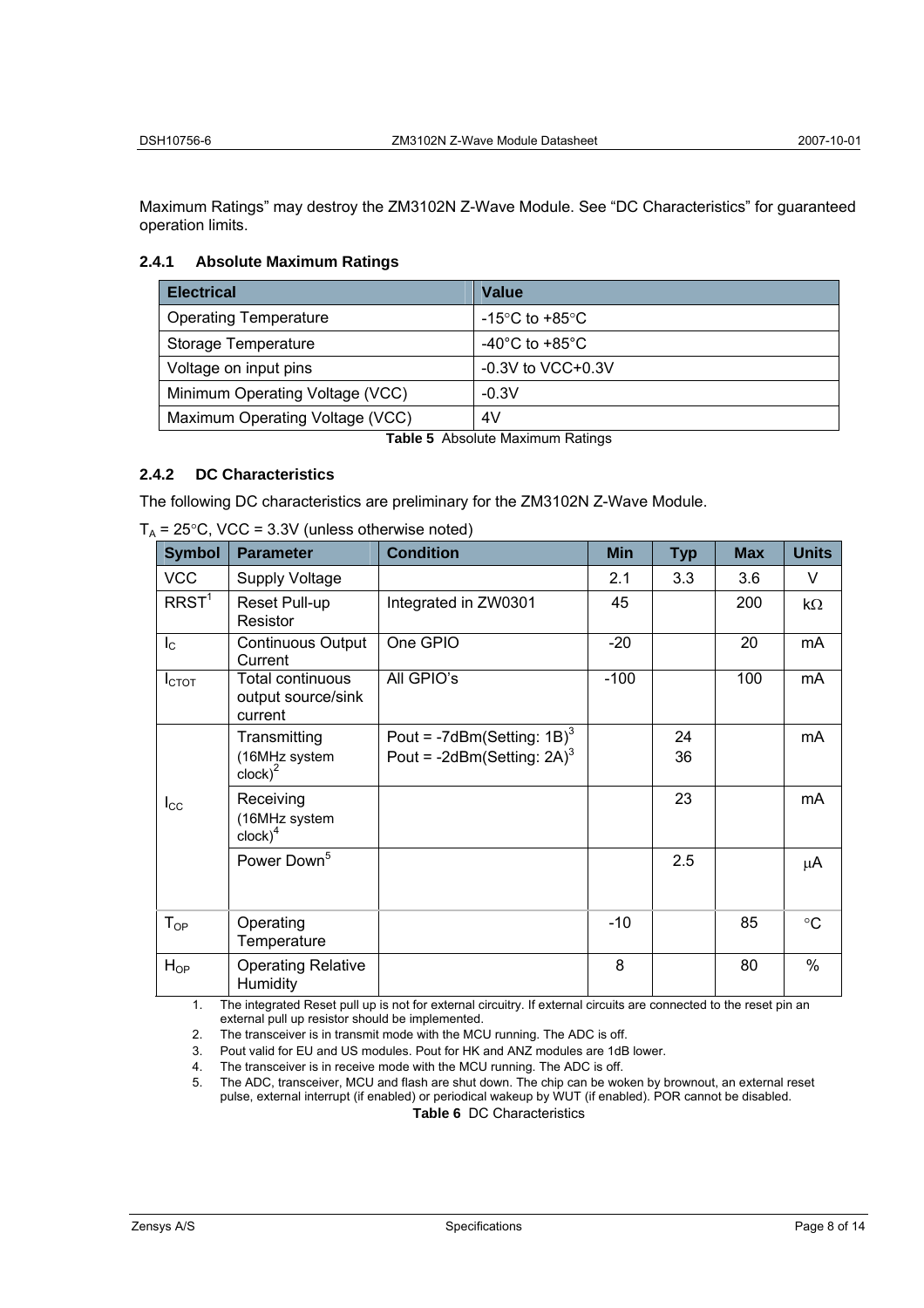Maximum Ratings" may destroy the ZM3102N Z-Wave Module. See "DC Characteristics" for guaranteed operation limits.

## **2.4.1 Absolute Maximum Ratings**

| <b>Electrical</b>               | Value                                |
|---------------------------------|--------------------------------------|
| <b>Operating Temperature</b>    | -15°C to +85°C                       |
| Storage Temperature             | -40 $^{\circ}$ C to +85 $^{\circ}$ C |
| Voltage on input pins           | $-0.3V$ to VCC $+0.3V$               |
| Minimum Operating Voltage (VCC) | $-0.3V$                              |
| Maximum Operating Voltage (VCC) | 4V                                   |

**Table 5** Absolute Maximum Ratings

# **2.4.2 DC Characteristics**

The following DC characteristics are preliminary for the ZM3102N Z-Wave Module.

| <b>Symbol</b>     | <b>Parameter</b>                                               | <b>Condition</b>                                                                       | <b>Min</b> | <b>Typ</b> | <b>Max</b> | <b>Units</b> |
|-------------------|----------------------------------------------------------------|----------------------------------------------------------------------------------------|------------|------------|------------|--------------|
| <b>VCC</b>        | <b>Supply Voltage</b>                                          |                                                                                        | 2.1        | 3.3        | 3.6        | V            |
| RRST <sup>1</sup> | Reset Pull-up<br>Resistor                                      | Integrated in ZW0301                                                                   | 45         |            | 200        | $k\Omega$    |
| $I_{\rm C}$       | <b>Continuous Output</b><br>Current                            | One GPIO                                                                               | $-20$      |            | 20         | mA           |
| I <sub>CTOT</sub> | Total continuous<br>output source/sink<br>current              | All GPIO's                                                                             | $-100$     |            | 100        | mA           |
|                   | Transmitting<br>(16MHz system<br>$\mathsf{clock}$ <sup>2</sup> | Pout = $-7d$ Bm(Setting: 1B) <sup>3</sup><br>Pout = -2dBm(Setting: $2A$ ) <sup>3</sup> |            | 24<br>36   |            | mA           |
| $I_{\rm CC}$      | Receiving<br>(16MHz system<br>$\mathsf{clock}$ <sup>4</sup>    |                                                                                        |            | 23         |            | mA           |
|                   | Power Down <sup>5</sup>                                        |                                                                                        |            | 2.5        |            | μA           |
| $T_{OP}$          | Operating<br>Temperature                                       |                                                                                        | $-10$      |            | 85         | $\circ$ C    |
| $H_{OP}$          | <b>Operating Relative</b><br>Humidity                          |                                                                                        | 8          |            | 80         | $\%$         |

 $T_A$  = 25°C, VCC = 3.3V (unless otherwise noted)

1. The integrated Reset pull up is not for external circuitry. If external circuits are connected to the reset pin an external pull up resistor should be implemented.

2. The transceiver is in transmit mode with the MCU running. The ADC is off.

3. Pout valid for EU and US modules. Pout for HK and ANZ modules are 1dB lower.

4. The transceiver is in receive mode with the MCU running. The ADC is off.<br>5. The ADC, transceiver, MCU and flash are shut down. The chip can be wo

5. The ADC, transceiver, MCU and flash are shut down. The chip can be woken by brownout, an external reset pulse, external interrupt (if enabled) or periodical wakeup by WUT (if enabled). POR cannot be disabled. **Table 6** DC Characteristics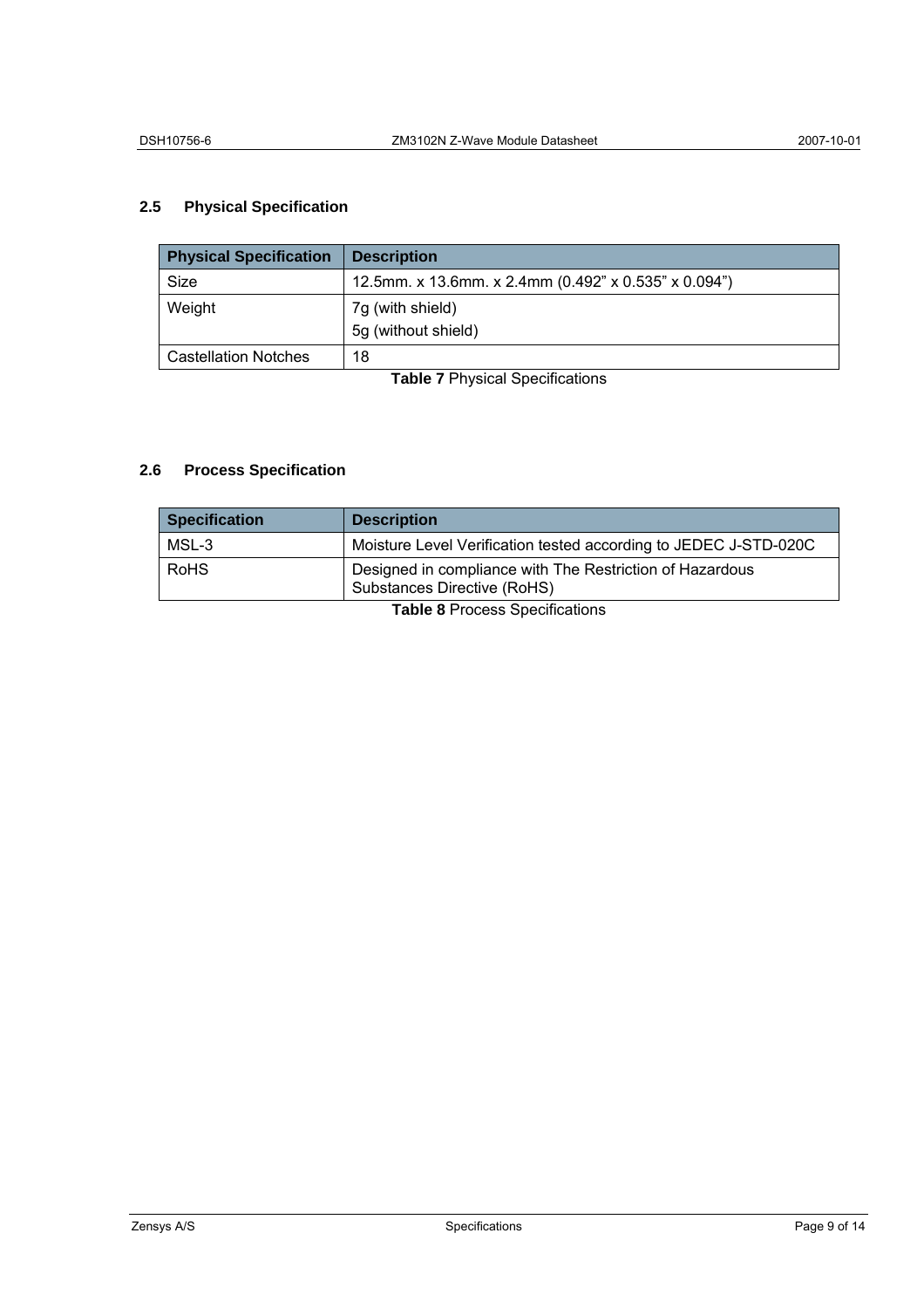# **2.5 Physical Specification**

| <b>Physical Specification</b> | <b>Description</b>                                   |  |  |
|-------------------------------|------------------------------------------------------|--|--|
| Size                          | 12.5mm. x 13.6mm. x 2.4mm (0.492" x 0.535" x 0.094") |  |  |
| Weight                        | 7g (with shield)                                     |  |  |
|                               | 5g (without shield)                                  |  |  |
| <b>Castellation Notches</b>   | 18                                                   |  |  |

**Table 7** Physical Specifications

# **2.6 Process Specification**

| <b>Specification</b>                                                                                          | <b>Description</b>                                               |
|---------------------------------------------------------------------------------------------------------------|------------------------------------------------------------------|
| MSL-3                                                                                                         | Moisture Level Verification tested according to JEDEC J-STD-020C |
| <b>RoHS</b><br>Designed in compliance with The Restriction of Hazardous<br><b>Substances Directive (RoHS)</b> |                                                                  |

**Table 8** Process Specifications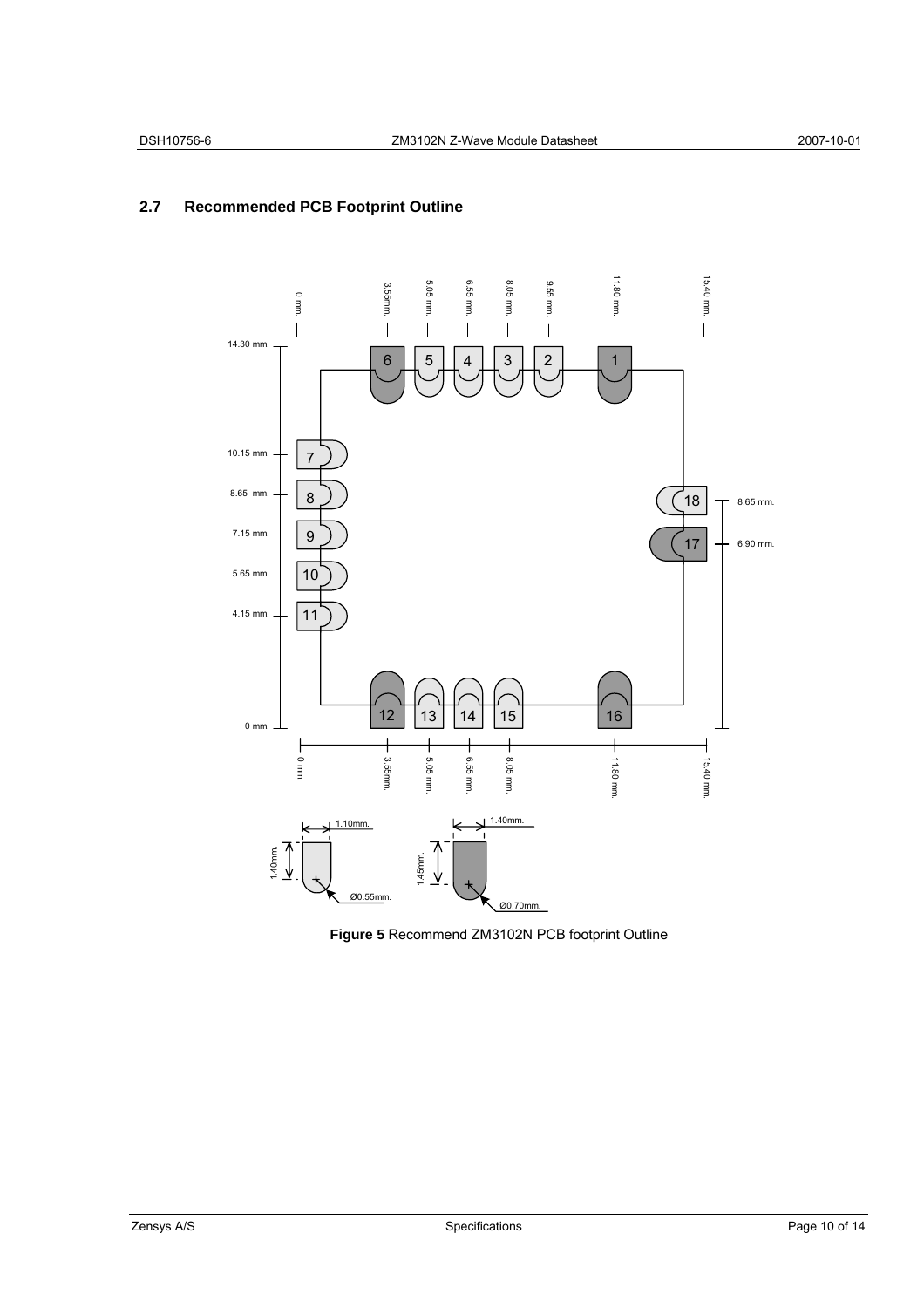# **2.7 Recommended PCB Footprint Outline**



**Figure 5** Recommend ZM3102N PCB footprint Outline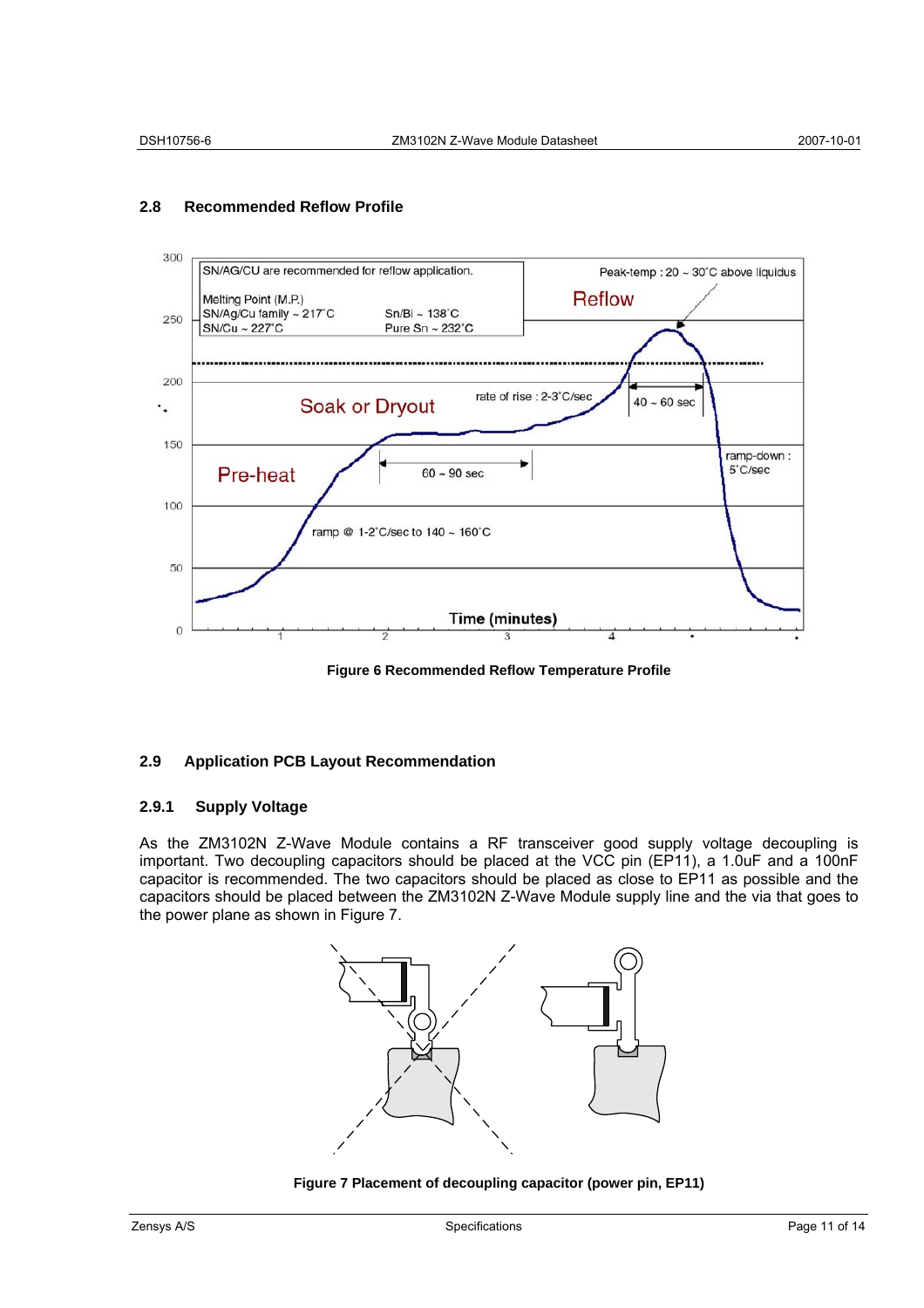

# **2.8 Recommended Reflow Profile**

**Figure 6 Recommended Reflow Temperature Profile** 

# **2.9 Application PCB Layout Recommendation**

### **2.9.1 Supply Voltage**

As the ZM3102N Z-Wave Module contains a RF transceiver good supply voltage decoupling is important. Two decoupling capacitors should be placed at the VCC pin (EP11), a 1.0uF and a 100nF capacitor is recommended. The two capacitors should be placed as close to EP11 as possible and the capacitors should be placed between the ZM3102N Z-Wave Module supply line and the via that goes to the power plane as shown in Figure 7.



**Figure 7 Placement of decoupling capacitor (power pin, EP11)**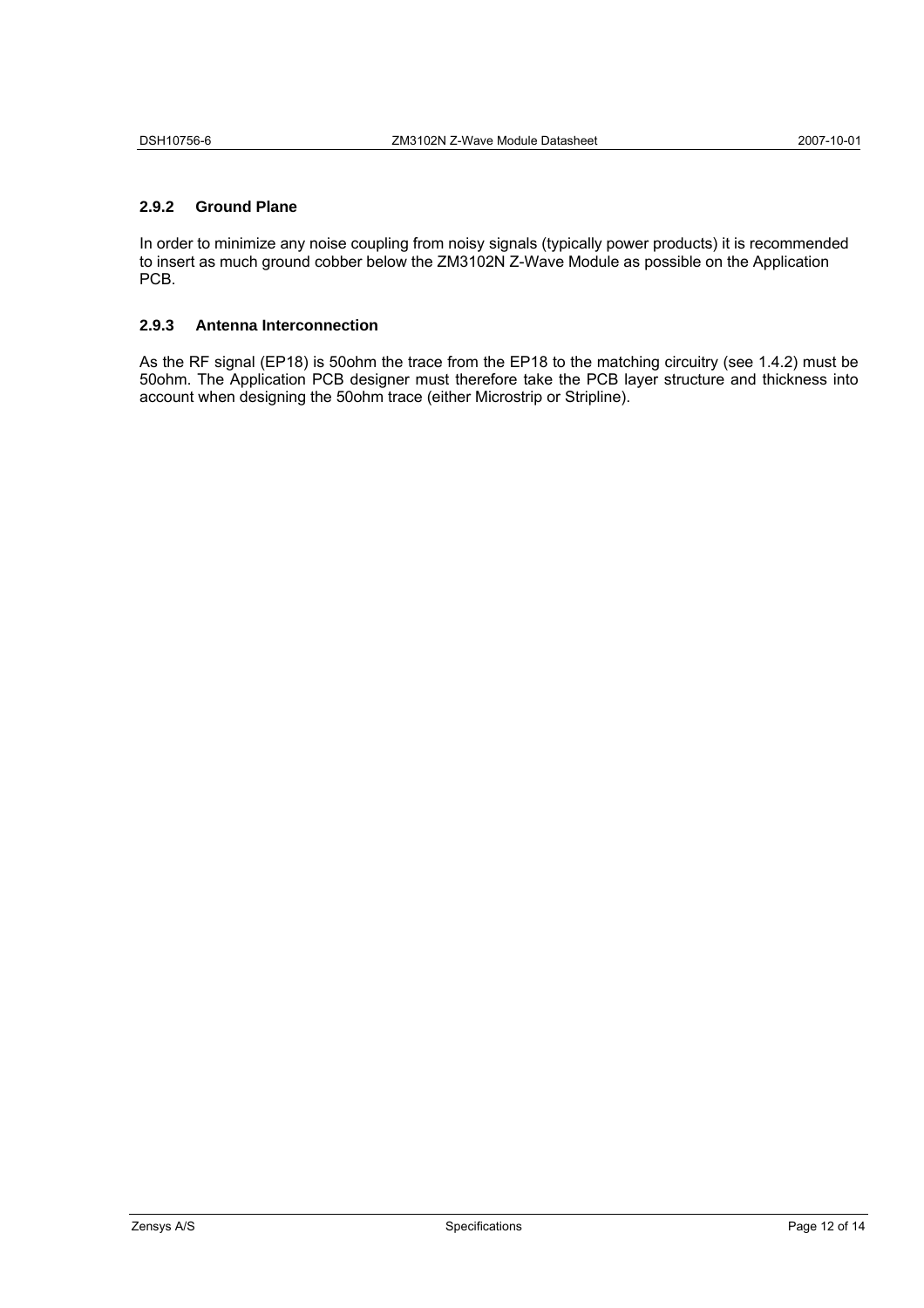### **2.9.2 Ground Plane**

In order to minimize any noise coupling from noisy signals (typically power products) it is recommended to insert as much ground cobber below the ZM3102N Z-Wave Module as possible on the Application PCB.

#### **2.9.3 Antenna Interconnection**

As the RF signal (EP18) is 50ohm the trace from the EP18 to the matching circuitry (see 1.4.2) must be 50ohm. The Application PCB designer must therefore take the PCB layer structure and thickness into account when designing the 50ohm trace (either Microstrip or Stripline).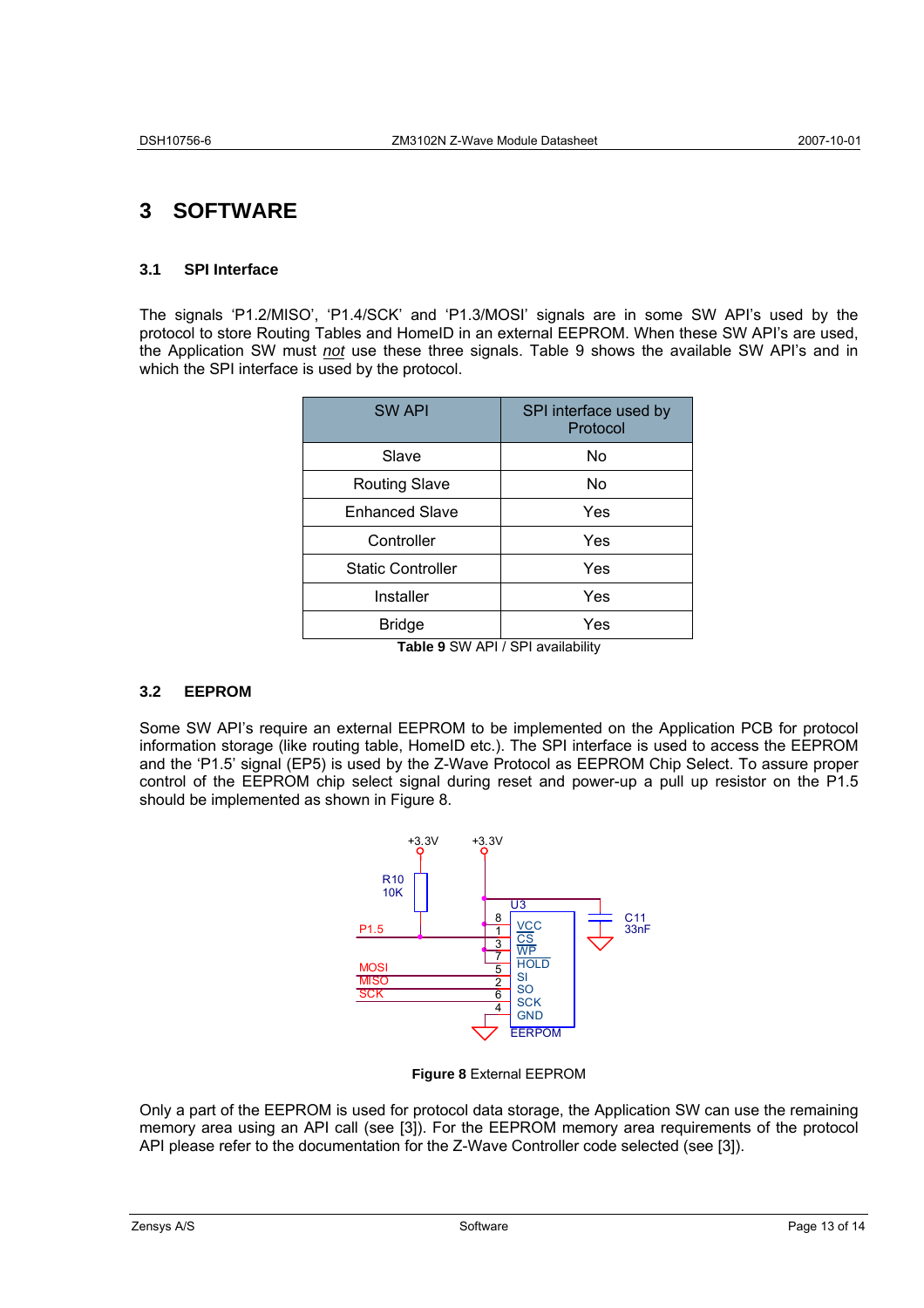# **3 SOFTWARE**

# **3.1 SPI Interface**

The signals 'P1.2/MISO', 'P1.4/SCK' and 'P1.3/MOSI' signals are in some SW API's used by the protocol to store Routing Tables and HomeID in an external EEPROM. When these SW API's are used, the Application SW must *not* use these three signals. Table 9 shows the available SW API's and in which the SPI interface is used by the protocol.

| <b>SW API</b>            | SPI interface used by<br>Protocol |
|--------------------------|-----------------------------------|
| Slave                    | No                                |
| <b>Routing Slave</b>     | No                                |
| <b>Enhanced Slave</b>    | Yes                               |
| Controller               | Yes                               |
| <b>Static Controller</b> | Yes                               |
| Installer                | Yes                               |
| <b>Bridge</b>            | Yes                               |

**Table 9** SW API / SPI availability

# **3.2 EEPROM**

Some SW API's require an external EEPROM to be implemented on the Application PCB for protocol information storage (like routing table, HomeID etc.). The SPI interface is used to access the EEPROM and the 'P1.5' signal (EP5) is used by the Z-Wave Protocol as EEPROM Chip Select. To assure proper control of the EEPROM chip select signal during reset and power-up a pull up resistor on the P1.5 should be implemented as shown in Figure 8.



**Figure 8** External EEPROM

Only a part of the EEPROM is used for protocol data storage, the Application SW can use the remaining memory area using an API call (see [3]). For the EEPROM memory area requirements of the protocol API please refer to the documentation for the Z-Wave Controller code selected (see [3]).